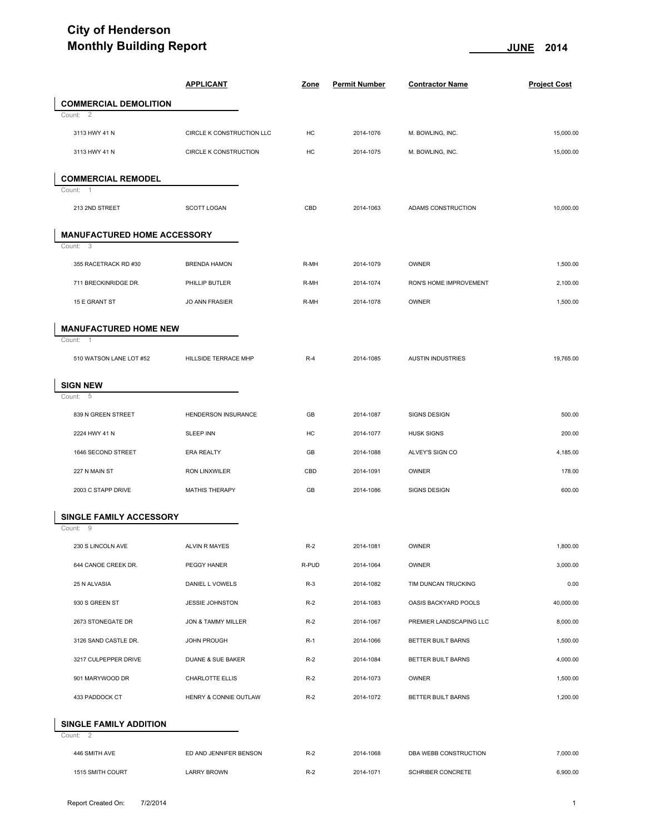## **City of Henderson Monthly Building Report CONSUMING <b>CONSUMING A CONSUMING A CONSUMING A CONSUMING A CONSUMING A CONSUMING A CONSUMING A CONSUMING A CONSUMING A CONSUMING A CONSUMING A CONSUMING A CONSUMING A CONSUMING A CONSUMING A CONS**

| <b>Monthly Building Report</b>      |                              |             | <u>JUNE</u><br>2014  |                          |                     |
|-------------------------------------|------------------------------|-------------|----------------------|--------------------------|---------------------|
|                                     | <b>APPLICANT</b>             | <b>Zone</b> | <b>Permit Number</b> | <b>Contractor Name</b>   | <b>Project Cost</b> |
| <b>COMMERCIAL DEMOLITION</b>        |                              |             |                      |                          |                     |
| Count: 2                            |                              |             |                      |                          |                     |
| 3113 HWY 41 N                       | CIRCLE K CONSTRUCTION LLC    | HC          | 2014-1076            | M. BOWLING, INC.         | 15,000.00           |
| 3113 HWY 41 N                       | <b>CIRCLE K CONSTRUCTION</b> | HC          | 2014-1075            | M. BOWLING, INC.         | 15,000.00           |
| <b>COMMERCIAL REMODEL</b>           |                              |             |                      |                          |                     |
| Count: 1<br>213 2ND STREET          | SCOTT LOGAN                  | CBD         | 2014-1063            | ADAMS CONSTRUCTION       | 10,000.00           |
| <b>MANUFACTURED HOME ACCESSORY</b>  |                              |             |                      |                          |                     |
| Count: 3                            |                              |             |                      |                          |                     |
| 355 RACETRACK RD #30                | <b>BRENDA HAMON</b>          | R-MH        | 2014-1079            | OWNER                    | 1,500.00            |
| 711 BRECKINRIDGE DR.                | PHILLIP BUTLER               | R-MH        | 2014-1074            | RON'S HOME IMPROVEMENT   | 2,100.00            |
| 15 E GRANT ST                       | <b>JO ANN FRASIER</b>        | R-MH        | 2014-1078            | OWNER                    | 1,500.00            |
| <b>MANUFACTURED HOME NEW</b>        |                              |             |                      |                          |                     |
| Count: 1                            |                              |             |                      |                          |                     |
| 510 WATSON LANE LOT #52             | HILLSIDE TERRACE MHP         | $R-4$       | 2014-1085            | <b>AUSTIN INDUSTRIES</b> | 19,765.00           |
| <b>SIGN NEW</b>                     |                              |             |                      |                          |                     |
| Count: 5                            |                              |             |                      |                          |                     |
| 839 N GREEN STREET                  | HENDERSON INSURANCE          | GB          | 2014-1087            | SIGNS DESIGN             | 500.00              |
| 2224 HWY 41 N                       | <b>SLEEP INN</b>             | HC          | 2014-1077            | <b>HUSK SIGNS</b>        | 200.00              |
| 1646 SECOND STREET                  | <b>ERA REALTY</b>            | GB          | 2014-1088            | ALVEY'S SIGN CO          | 4,185.00            |
| 227 N MAIN ST                       | RON LINXWILER                | CBD         | 2014-1091            | OWNER                    | 178.00              |
| 2003 C STAPP DRIVE                  | MATHIS THERAPY               | GB          | 2014-1086            | SIGNS DESIGN             | 600.00              |
| SINGLE FAMILY ACCESSORY<br>Count: 9 |                              |             |                      |                          |                     |
| 230 S LINCOLN AVE                   | <b>ALVIN R MAYES</b>         | $R-2$       | 2014-1081            | <b>OWNER</b>             | 1,800.00            |
| 644 CANOE CREEK DR.                 | PEGGY HANER                  | R-PUD       | 2014-1064            | OWNER                    | 3,000.00            |
| 25 N ALVASIA                        | DANIEL L VOWELS              | $R-3$       | 2014-1082            | TIM DUNCAN TRUCKING      | 0.00                |
| 930 S GREEN ST                      | JESSIE JOHNSTON              | $R-2$       | 2014-1083            | OASIS BACKYARD POOLS     | 40,000.00           |
| 2673 STONEGATE DR                   | JON & TAMMY MILLER           | $R-2$       | 2014-1067            | PREMIER LANDSCAPING LLC  | 8,000.00            |
| 3126 SAND CASTLE DR.                | <b>JOHN PROUGH</b>           | $R-1$       | 2014-1066            | BETTER BUILT BARNS       | 1,500.00            |
| 3217 CULPEPPER DRIVE                | DUANE & SUE BAKER            | $R-2$       | 2014-1084            | BETTER BUILT BARNS       | 4,000.00            |
| 901 MARYWOOD DR                     | CHARLOTTE ELLIS              | $R-2$       | 2014-1073            | OWNER                    | 1,500.00            |
| 433 PADDOCK CT                      | HENRY & CONNIE OUTLAW        | $R-2$       | 2014-1072            | BETTER BUILT BARNS       | 1,200.00            |
| <b>SINGLE FAMILY ADDITION</b>       |                              |             |                      |                          |                     |
| Count: 2<br>446 SMITH AVE           | ED AND JENNIFER BENSON       | $R-2$       | 2014-1068            | DBA WEBB CONSTRUCTION    | 7,000.00            |
|                                     |                              |             |                      |                          |                     |
| 1515 SMITH COURT                    | <b>LARRY BROWN</b>           | $R-2$       | 2014-1071            | SCHRIBER CONCRETE        | 6,900.00            |
|                                     |                              |             |                      |                          |                     |